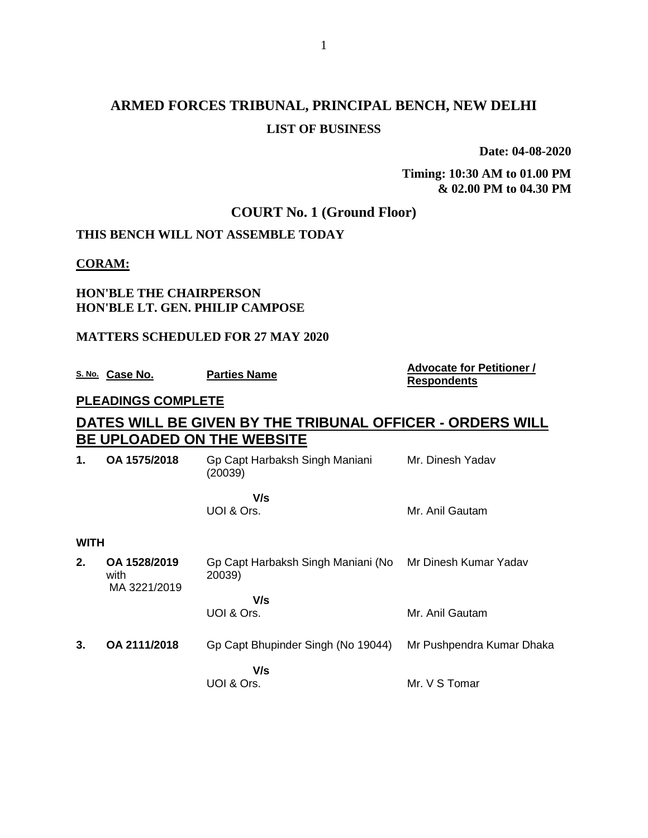# **ARMED FORCES TRIBUNAL, PRINCIPAL BENCH, NEW DELHI LIST OF BUSINESS**

**Date: 04-08-2020**

**Timing: 10:30 AM to 01.00 PM & 02.00 PM to 04.30 PM**

### **COURT No. 1 (Ground Floor)**

#### **THIS BENCH WILL NOT ASSEMBLE TODAY**

#### **CORAM:**

#### **HON'BLE THE CHAIRPERSON HON'BLE LT. GEN. PHILIP CAMPOSE**

#### **MATTERS SCHEDULED FOR 27 MAY 2020**

**S. No. Case No. Parties Name Advocate for Petitioner / Advocate for Petitioner /** 

# **Respondents**

#### **PLEADINGS COMPLETE**

## **DATES WILL BE GIVEN BY THE TRIBUNAL OFFICER - ORDERS WILL BE UPLOADED ON THE WEBSITE**

| 1.          | OA 1575/2018                         | Gp Capt Harbaksh Singh Maniani<br>(20039)    | Mr. Dinesh Yadav          |
|-------------|--------------------------------------|----------------------------------------------|---------------------------|
|             |                                      | V/s<br>UOI & Ors.                            | Mr. Anil Gautam           |
| <b>WITH</b> |                                      |                                              |                           |
| 2.          | OA 1528/2019<br>with<br>MA 3221/2019 | Gp Capt Harbaksh Singh Maniani (No<br>20039) | Mr Dinesh Kumar Yadav     |
|             |                                      | V/s<br>UOI & Ors.                            | Mr. Anil Gautam           |
| 3.          | OA 2111/2018                         | Gp Capt Bhupinder Singh (No 19044)           | Mr Pushpendra Kumar Dhaka |
|             |                                      | V/s<br>UOI & Ors.                            | Mr. V S Tomar             |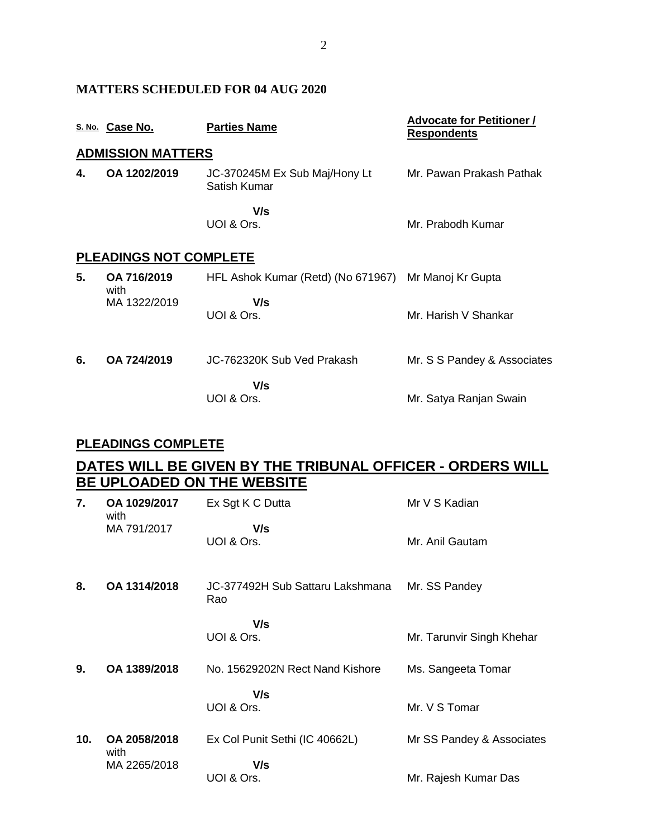|    | S. No. Case No.               | <b>Parties Name</b>                           | <b>Advocate for Petitioner /</b><br><b>Respondents</b> |
|----|-------------------------------|-----------------------------------------------|--------------------------------------------------------|
|    | <b>ADMISSION MATTERS</b>      |                                               |                                                        |
| 4. | OA 1202/2019                  | JC-370245M Ex Sub Maj/Hony Lt<br>Satish Kumar | Mr. Pawan Prakash Pathak                               |
|    |                               | V/s<br>UOI & Ors.                             | Mr. Prabodh Kumar                                      |
|    | <b>PLEADINGS NOT COMPLETE</b> |                                               |                                                        |
| 5. | OA 716/2019<br>with           | HFL Ashok Kumar (Retd) (No 671967)            | Mr Manoj Kr Gupta                                      |
|    | MA 1322/2019                  | V/s<br>UOI & Ors.                             | Mr. Harish V Shankar                                   |
| 6. | OA 724/2019                   | JC-762320K Sub Ved Prakash                    | Mr. S S Pandey & Associates                            |
|    |                               | V/s<br>UOI & Ors.                             | Mr. Satya Ranjan Swain                                 |

#### **PLEADINGS COMPLETE**

**MATTERS SCHEDULED FOR 04 AUG 2020**

## **DATES WILL BE GIVEN BY THE TRIBUNAL OFFICER - ORDERS WILL BE UPLOADED ON THE WEBSITE**

| 7.  | OA 1029/2017<br>with | Ex Sgt K C Dutta                        | Mr V S Kadian             |
|-----|----------------------|-----------------------------------------|---------------------------|
|     | MA 791/2017          | V/s<br>UOI & Ors.                       | Mr. Anil Gautam           |
| 8.  | OA 1314/2018         | JC-377492H Sub Sattaru Lakshmana<br>Rao | Mr. SS Pandey             |
|     |                      | V/s<br>UOI & Ors.                       | Mr. Tarunvir Singh Khehar |
| 9.  | OA 1389/2018         | No. 15629202N Rect Nand Kishore         | Ms. Sangeeta Tomar        |
|     |                      | V/s<br>UOI & Ors.                       | Mr. V S Tomar             |
| 10. | OA 2058/2018<br>with | Ex Col Punit Sethi (IC 40662L)          | Mr SS Pandey & Associates |
|     | MA 2265/2018         | V/s<br>UOI & Ors.                       | Mr. Rajesh Kumar Das      |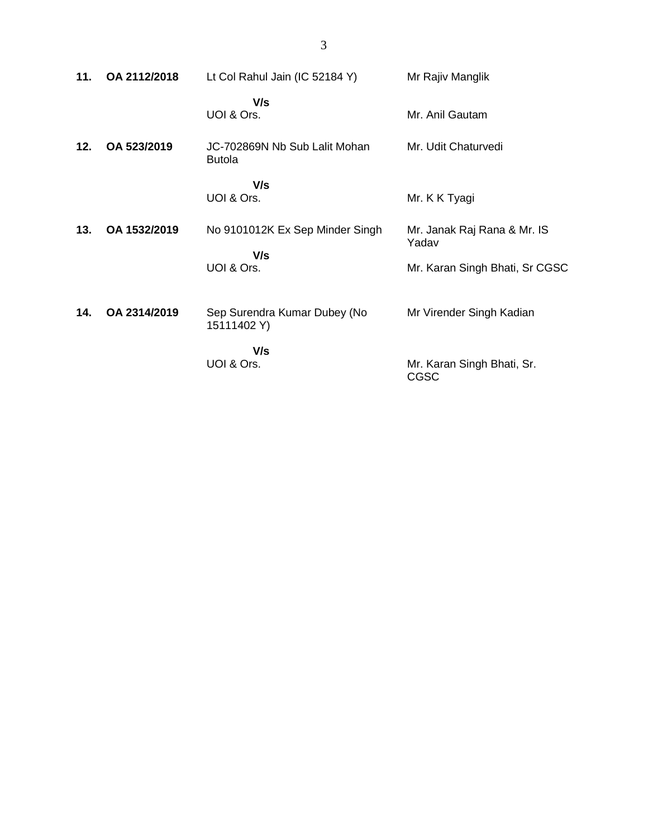| 11. | OA 2112/2018 | Lt Col Rahul Jain (IC 52184 Y)                 | Mr Rajiv Manglik                     |
|-----|--------------|------------------------------------------------|--------------------------------------|
|     |              | V/s<br>UOI & Ors.                              | Mr. Anil Gautam                      |
| 12. | OA 523/2019  | JC-702869N Nb Sub Lalit Mohan<br><b>Butola</b> | Mr. Udit Chaturvedi                  |
|     |              | V/s<br>UOI & Ors.                              | Mr. K K Tyagi                        |
| 13. | OA 1532/2019 | No 9101012K Ex Sep Minder Singh                | Mr. Janak Raj Rana & Mr. IS<br>Yadav |
|     |              | V/s<br>UOI & Ors.                              | Mr. Karan Singh Bhati, Sr CGSC       |
| 14. | OA 2314/2019 | Sep Surendra Kumar Dubey (No<br>15111402 Y)    | Mr Virender Singh Kadian             |
|     |              | V/s<br>UOI & Ors.                              | Mr. Karan Singh Bhati, Sr.<br>CGSC   |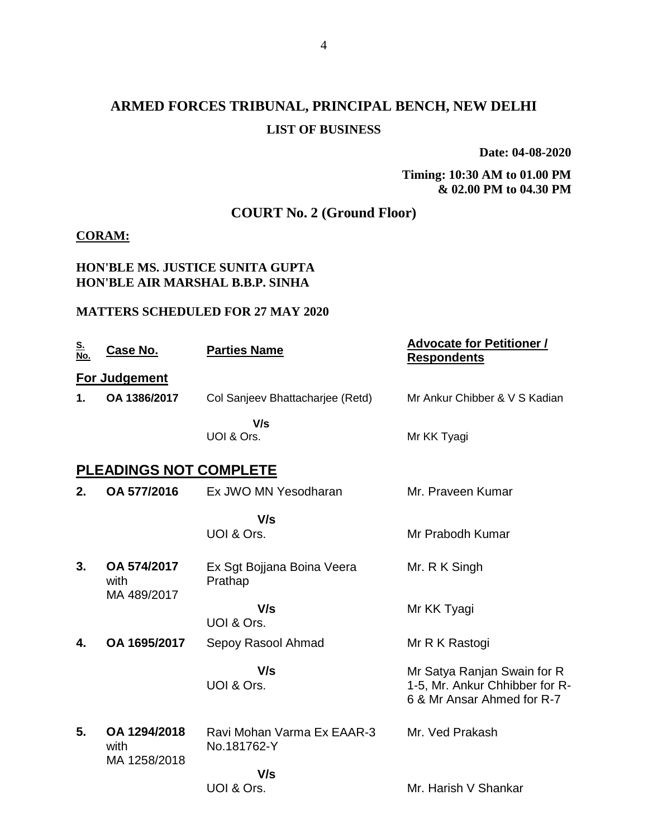# **ARMED FORCES TRIBUNAL, PRINCIPAL BENCH, NEW DELHI LIST OF BUSINESS**

**Date: 04-08-2020**

**Timing: 10:30 AM to 01.00 PM & 02.00 PM to 04.30 PM**

## **COURT No. 2 (Ground Floor)**

#### **CORAM:**

#### **HON'BLE MS. JUSTICE SUNITA GUPTA HON'BLE AIR MARSHAL B.B.P. SINHA**

#### **MATTERS SCHEDULED FOR 27 MAY 2020**

| <u>S.<br/>No.</u> | <u>Case No.</u>                      | <b>Parties Name</b>                       | <b>Advocate for Petitioner /</b><br><b>Respondents</b>                                      |
|-------------------|--------------------------------------|-------------------------------------------|---------------------------------------------------------------------------------------------|
|                   | For Judgement                        |                                           |                                                                                             |
| 1.                | OA 1386/2017                         | Col Sanjeev Bhattacharjee (Retd)          | Mr Ankur Chibber & V S Kadian                                                               |
|                   |                                      | V/s<br>UOI & Ors.                         | Mr KK Tyagi                                                                                 |
|                   | <b>PLEADINGS NOT COMPLETE</b>        |                                           |                                                                                             |
| 2.                | OA 577/2016                          | Ex JWO MN Yesodharan                      | Mr. Praveen Kumar                                                                           |
|                   |                                      | V/s<br>UOI & Ors.                         | Mr Prabodh Kumar                                                                            |
| 3.                | OA 574/2017<br>with<br>MA 489/2017   | Ex Sgt Bojjana Boina Veera<br>Prathap     | Mr. R K Singh                                                                               |
|                   |                                      | V/s<br>UOI & Ors.                         | Mr KK Tyagi                                                                                 |
| 4.                | OA 1695/2017                         | Sepoy Rasool Ahmad                        | Mr R K Rastogi                                                                              |
|                   |                                      | V/s<br>UOI & Ors.                         | Mr Satya Ranjan Swain for R<br>1-5, Mr. Ankur Chhibber for R-<br>6 & Mr Ansar Ahmed for R-7 |
| 5.                | OA 1294/2018<br>with<br>MA 1258/2018 | Ravi Mohan Varma Ex EAAR-3<br>No.181762-Y | Mr. Ved Prakash                                                                             |
|                   |                                      | V/s<br>UOI & Ors.                         | Mr. Harish V Shankar                                                                        |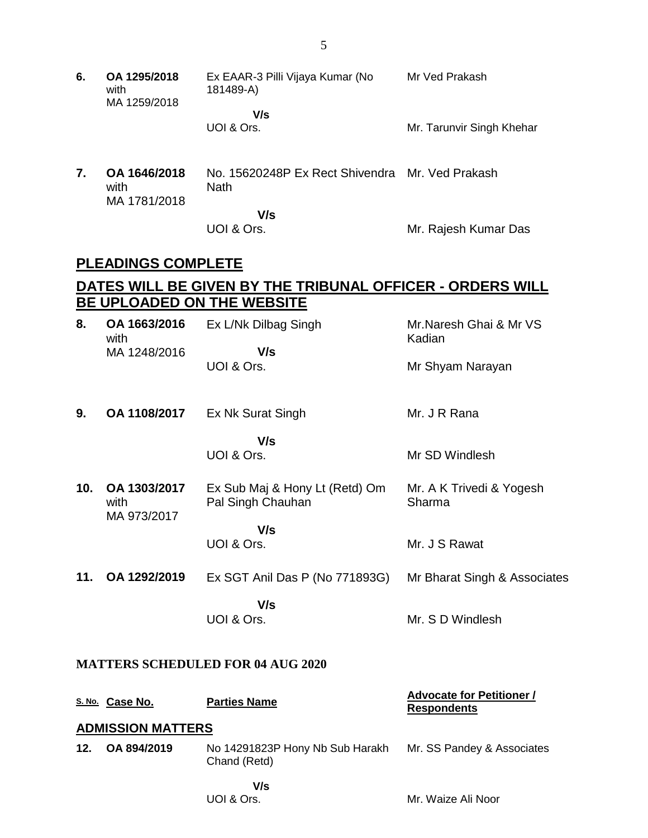- **6. OA 1295/2018** with MA 1259/2018 Ex EAAR-3 Pilli Vijaya Kumar (No 181489-A)  **V/s** UOI & Ors. Mr Ved Prakash Mr. Tarunvir Singh Khehar
- **7. OA 1646/2018** with MA 1781/2018 No. 15620248P Ex Rect Shivendra Mr. Ved Prakash **Nath V/s**

UOI & Ors.

Mr. Rajesh Kumar Das

### **PLEADINGS COMPLETE**

## **DATES WILL BE GIVEN BY THE TRIBUNAL OFFICER - ORDERS WILL BE UPLOADED ON THE WEBSITE**

| 8.  | OA 1663/2016<br>with<br>MA 1248/2016     | Ex L/Nk Dilbag Singh<br>V/s                         | Mr.Naresh Ghai & Mr VS<br>Kadian                       |  |  |
|-----|------------------------------------------|-----------------------------------------------------|--------------------------------------------------------|--|--|
|     |                                          | UOI & Ors.                                          | Mr Shyam Narayan                                       |  |  |
| 9.  | OA 1108/2017                             | Ex Nk Surat Singh                                   | Mr. J R Rana                                           |  |  |
|     |                                          | V/s<br>UOI & Ors.                                   | Mr SD Windlesh                                         |  |  |
| 10. | OA 1303/2017<br>with<br>MA 973/2017      | Ex Sub Maj & Hony Lt (Retd) Om<br>Pal Singh Chauhan | Mr. A K Trivedi & Yogesh<br>Sharma                     |  |  |
|     |                                          | V/s<br>UOI & Ors.                                   | Mr. J S Rawat                                          |  |  |
| 11. | OA 1292/2019                             | Ex SGT Anil Das P (No 771893G)                      | Mr Bharat Singh & Associates                           |  |  |
|     |                                          | V/s<br>UOI & Ors.                                   | Mr. S D Windlesh                                       |  |  |
|     | <b>MATTERS SCHEDULED FOR 04 AUG 2020</b> |                                                     |                                                        |  |  |
|     | S. No. Case No.                          | <b>Parties Name</b>                                 | <b>Advocate for Petitioner /</b><br><b>Respondents</b> |  |  |
|     | <b>ADMISSION MATTERS</b>                 |                                                     |                                                        |  |  |
| 12. | OA 894/2019                              | No 14291823P Hony Nb Sub Harakh<br>Chand (Retd)     | Mr. SS Pandey & Associates                             |  |  |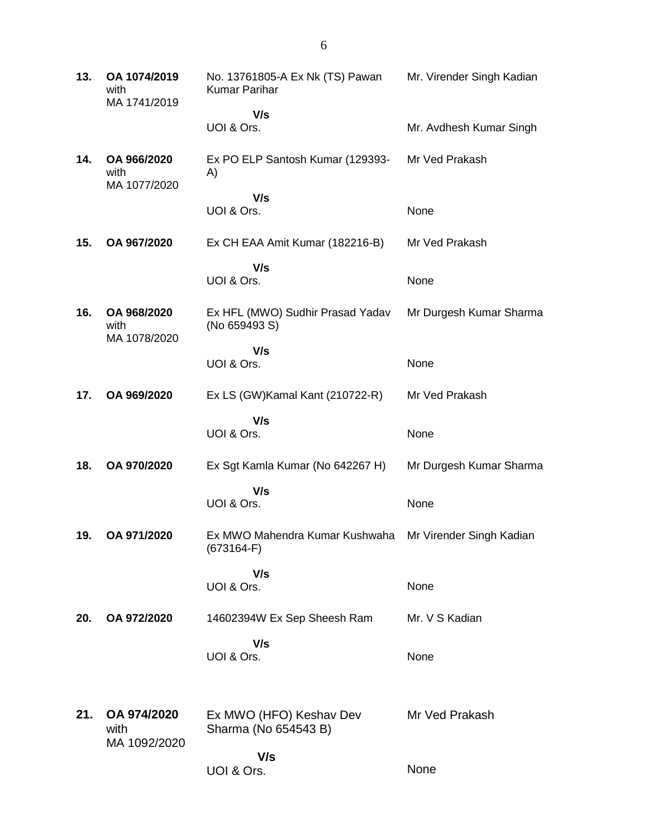**13. OA 1074/2019** with MA 1741/2019 No. 13761805-A Ex Nk (TS) Pawan Kumar Parihar  **V/s** UOI & Ors. Mr. Virender Singh Kadian Mr. Avdhesh Kumar Singh **14. OA 966/2020** with MA 1077/2020 Ex PO ELP Santosh Kumar (129393- A)  **V/s** UOI & Ors. Mr Ved Prakash None **15. OA 967/2020** Ex CH EAA Amit Kumar (182216-B)  **V/s** UOI & Ors. Mr Ved Prakash None **16. OA 968/2020** with MA 1078/2020 Ex HFL (MWO) Sudhir Prasad Yadav (No 659493 S)  **V/s** UOI & Ors. Mr Durgesh Kumar Sharma None **17. OA 969/2020** Ex LS (GW)Kamal Kant (210722-R)  **V/s** UOI & Ors. Mr Ved Prakash None **18. OA 970/2020** Ex Sgt Kamla Kumar (No 642267 H)  **V/s** UOI & Ors. Mr Durgesh Kumar Sharma None **19. OA 971/2020** Ex MWO Mahendra Kumar Kushwaha (673164-F)  **V/s** UOI & Ors. Mr Virender Singh Kadian None **20. OA 972/2020** 14602394W Ex Sep Sheesh Ram  **V/s** UOI & Ors. Mr. V S Kadian None **21. OA 974/2020** with MA 1092/2020 Ex MWO (HFO) Keshav Dev Sharma (No 654543 B)  **V/s** UOI & Ors. Mr Ved Prakash None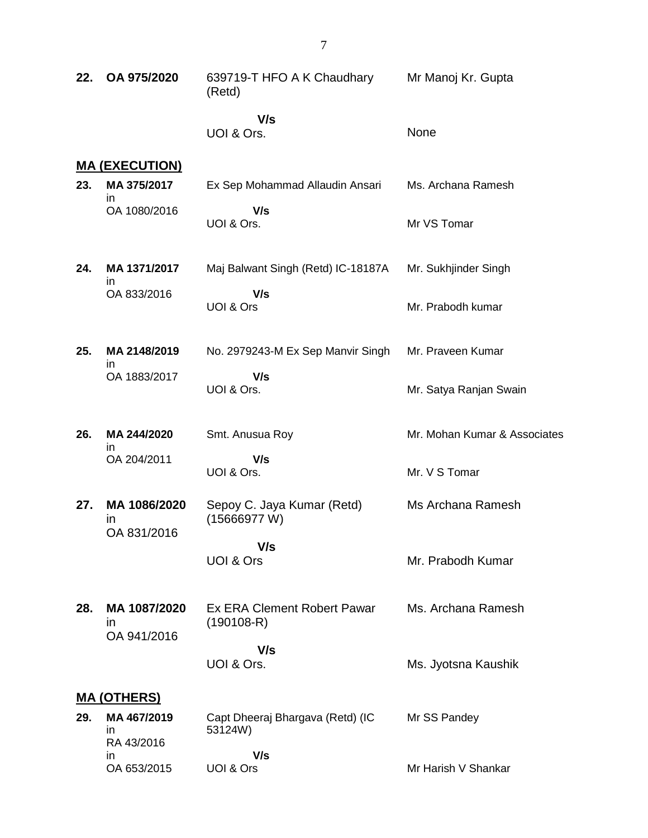| 22. | OA 975/2020                              | 639719-T HFO A K Chaudhary<br>(Retd)               | Mr Manoj Kr. Gupta           |
|-----|------------------------------------------|----------------------------------------------------|------------------------------|
|     |                                          | V/s<br>UOI & Ors.                                  | None                         |
|     | <u>MA (EXECUTION)</u>                    |                                                    |                              |
| 23. | MA 375/2017<br>in.                       | Ex Sep Mohammad Allaudin Ansari                    | Ms. Archana Ramesh           |
|     | OA 1080/2016                             | V/s<br>UOI & Ors.                                  | Mr VS Tomar                  |
| 24. | MA 1371/2017<br>in.                      | Maj Balwant Singh (Retd) IC-18187A                 | Mr. Sukhjinder Singh         |
|     | OA 833/2016                              | V/s<br>UOI & Ors                                   | Mr. Prabodh kumar            |
| 25. | MA 2148/2019<br>in.                      | No. 2979243-M Ex Sep Manvir Singh                  | Mr. Praveen Kumar            |
|     | OA 1883/2017                             | V/s<br>UOI & Ors.                                  | Mr. Satya Ranjan Swain       |
| 26. | MA 244/2020<br>in.                       | Smt. Anusua Roy                                    | Mr. Mohan Kumar & Associates |
|     | OA 204/2011                              | V/s<br>UOI & Ors.                                  | Mr. V S Tomar                |
| 27. | MA 1086/2020<br>ın<br>OA 831/2016        | Sepoy C. Jaya Kumar (Retd)<br>(15666977 W)         | Ms Archana Ramesh            |
|     |                                          | V/s<br><b>UOI &amp; Ors</b>                        | Mr. Prabodh Kumar            |
| 28. | MA 1087/2020<br><i>in</i><br>OA 941/2016 | <b>Ex ERA Clement Robert Pawar</b><br>$(190108-R)$ | Ms. Archana Ramesh           |
|     |                                          | V/s<br>UOI & Ors.                                  | Ms. Jyotsna Kaushik          |
|     | <u>MA (OTHERS)</u>                       |                                                    |                              |
| 29. | MA 467/2019<br>ın<br>RA 43/2016          | Capt Dheeraj Bhargava (Retd) (IC<br>53124W)        | Mr SS Pandey                 |
|     | in.<br>OA 653/2015                       | V/s<br>UOI & Ors                                   | Mr Harish V Shankar          |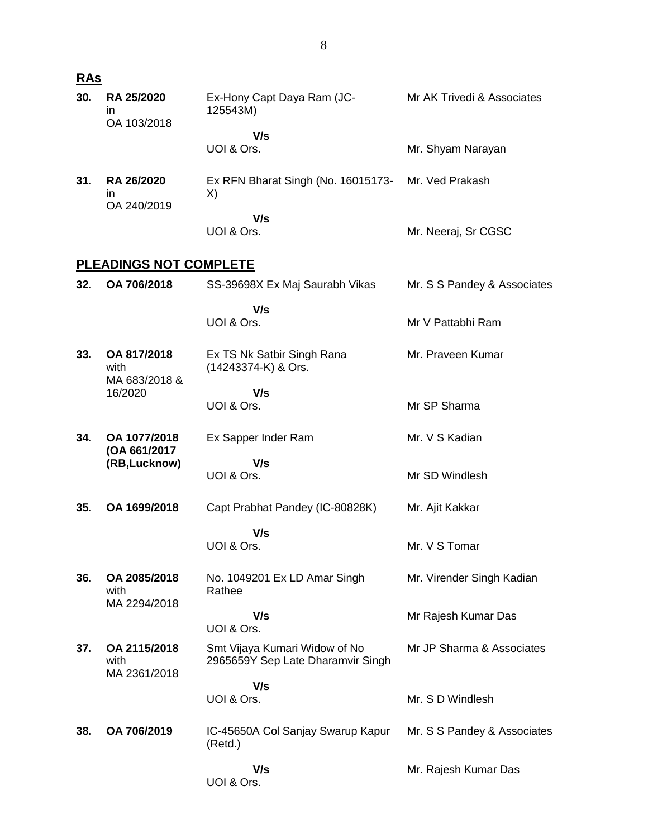| <b>RAs</b> |                                      |                                                                    |                             |
|------------|--------------------------------------|--------------------------------------------------------------------|-----------------------------|
| 30.        | RA 25/2020<br>in<br>OA 103/2018      | Ex-Hony Capt Daya Ram (JC-<br>125543M)                             | Mr AK Trivedi & Associates  |
|            |                                      | V/s<br>UOI & Ors.                                                  | Mr. Shyam Narayan           |
| 31.        | RA 26/2020<br>in<br>OA 240/2019      | Ex RFN Bharat Singh (No. 16015173-<br>X)                           | Mr. Ved Prakash             |
|            |                                      | V/s<br>UOI & Ors.                                                  | Mr. Neeraj, Sr CGSC         |
|            | <b>PLEADINGS NOT COMPLETE</b>        |                                                                    |                             |
| 32.        | OA 706/2018                          | SS-39698X Ex Maj Saurabh Vikas                                     | Mr. S S Pandey & Associates |
|            |                                      | V/s<br>UOI & Ors.                                                  | Mr V Pattabhi Ram           |
| 33.        | OA 817/2018<br>with<br>MA 683/2018 & | Ex TS Nk Satbir Singh Rana<br>(14243374-K) & Ors.                  | Mr. Praveen Kumar           |
|            | 16/2020                              | V/s<br>UOI & Ors.                                                  | Mr SP Sharma                |
| 34.        | OA 1077/2018<br>(OA 661/2017         | Ex Sapper Inder Ram                                                | Mr. V S Kadian              |
|            | (RB,Lucknow)                         | V/s<br>UOI & Ors.                                                  | Mr SD Windlesh              |
| 35.        | OA 1699/2018                         | Capt Prabhat Pandey (IC-80828K)                                    | Mr. Ajit Kakkar             |
|            |                                      | V/s<br>UOI & Ors.                                                  | Mr. V S Tomar               |
| 36.        | OA 2085/2018<br>with                 | No. 1049201 Ex LD Amar Singh<br>Rathee                             | Mr. Virender Singh Kadian   |
|            | MA 2294/2018                         | V/s<br>UOI & Ors.                                                  | Mr Rajesh Kumar Das         |
| 37.        | OA 2115/2018<br>with<br>MA 2361/2018 | Smt Vijaya Kumari Widow of No<br>2965659Y Sep Late Dharamvir Singh | Mr JP Sharma & Associates   |
|            |                                      | V/s<br>UOI & Ors.                                                  | Mr. S D Windlesh            |
| 38.        | OA 706/2019                          | IC-45650A Col Sanjay Swarup Kapur<br>(Retd.)                       | Mr. S S Pandey & Associates |
|            |                                      | V/s<br>UOI & Ors.                                                  | Mr. Rajesh Kumar Das        |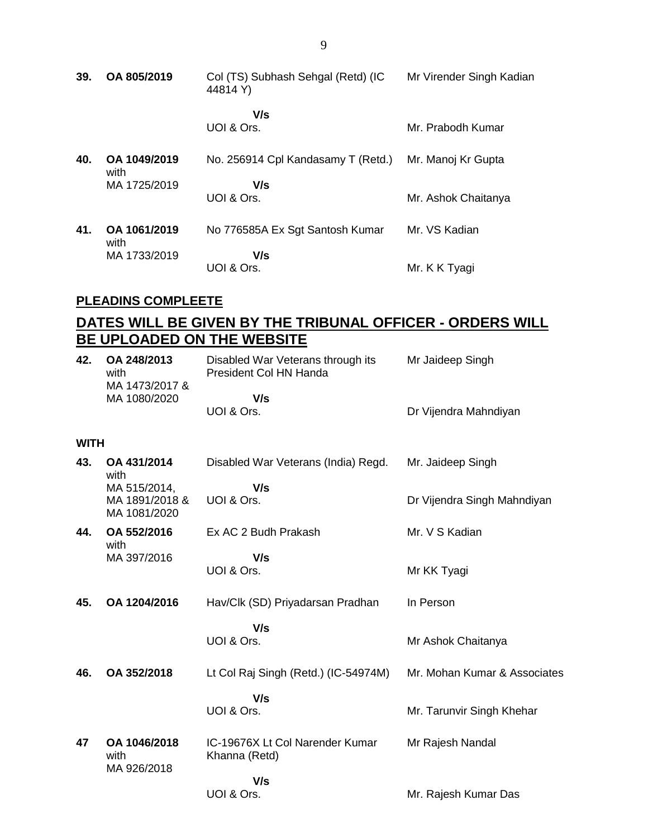| 39. | OA 805/2019          | Col (TS) Subhash Sehgal (Retd) (IC<br>44814 Y) | Mr Virender Singh Kadian |
|-----|----------------------|------------------------------------------------|--------------------------|
|     |                      | V/s<br>UOI & Ors.                              | Mr. Prabodh Kumar        |
| 40. | OA 1049/2019<br>with | No. 256914 Cpl Kandasamy T (Retd.)             | Mr. Manoj Kr Gupta       |
|     | MA 1725/2019         | V/s<br>UOI & Ors.                              | Mr. Ashok Chaitanya      |
| 41. | OA 1061/2019<br>with | No 776585A Ex Sgt Santosh Kumar                | Mr. VS Kadian            |
|     | MA 1733/2019         | V/s<br>UOI & Ors.                              | Mr. K K Tyagi            |

#### **PLEADINS COMPLEETE**

## **DATES WILL BE GIVEN BY THE TRIBUNAL OFFICER - ORDERS WILL BE UPLOADED ON THE WEBSITE**

| 42.         | OA 248/2013<br>with<br>MA 1473/2017 &          | Disabled War Veterans through its<br>President Col HN Handa | Mr Jaideep Singh             |
|-------------|------------------------------------------------|-------------------------------------------------------------|------------------------------|
|             | MA 1080/2020                                   | V/s<br>UOI & Ors.                                           | Dr Vijendra Mahndiyan        |
| <b>WITH</b> |                                                |                                                             |                              |
| 43.         | OA 431/2014<br>with                            | Disabled War Veterans (India) Regd.                         | Mr. Jaideep Singh            |
|             | MA 515/2014,<br>MA 1891/2018 &<br>MA 1081/2020 | V/s<br>UOI & Ors.                                           | Dr Vijendra Singh Mahndiyan  |
| 44.         | OA 552/2016<br>with                            | Ex AC 2 Budh Prakash                                        | Mr. V S Kadian               |
|             | MA 397/2016                                    | V/s<br>UOI & Ors.                                           | Mr KK Tyagi                  |
| 45.         | OA 1204/2016                                   | Hav/Clk (SD) Priyadarsan Pradhan                            | In Person                    |
|             |                                                | V/s<br>UOI & Ors.                                           | Mr Ashok Chaitanya           |
| 46.         | OA 352/2018                                    | Lt Col Raj Singh (Retd.) (IC-54974M)                        | Mr. Mohan Kumar & Associates |
|             |                                                | V/s<br>UOI & Ors.                                           | Mr. Tarunvir Singh Khehar    |
| 47          | OA 1046/2018<br>with<br>MA 926/2018            | IC-19676X Lt Col Narender Kumar<br>Khanna (Retd)            | Mr Rajesh Nandal             |
|             |                                                | V/s<br>UOI & Ors.                                           | Mr. Rajesh Kumar Das         |

9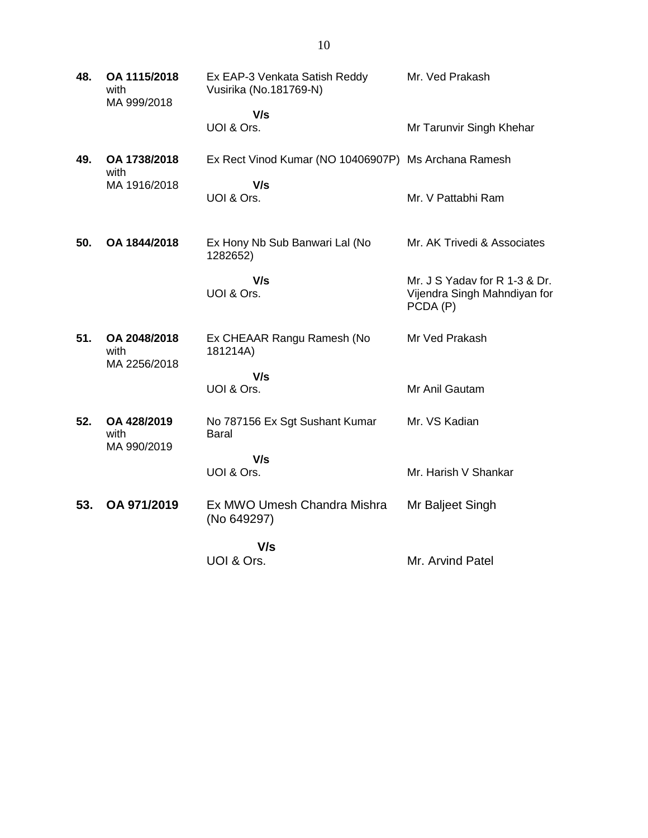| 48. | OA 1115/2018<br>with<br>MA 999/2018  | Ex EAP-3 Venkata Satish Reddy<br>Vusirika (No.181769-N) | Mr. Ved Prakash                                                           |
|-----|--------------------------------------|---------------------------------------------------------|---------------------------------------------------------------------------|
|     |                                      | V/s<br>UOI & Ors.                                       | Mr Tarunvir Singh Khehar                                                  |
| 49. | OA 1738/2018<br>with                 | Ex Rect Vinod Kumar (NO 10406907P) Ms Archana Ramesh    |                                                                           |
|     | MA 1916/2018                         | V/s                                                     |                                                                           |
|     |                                      | UOI & Ors.                                              | Mr. V Pattabhi Ram                                                        |
| 50. | OA 1844/2018                         | Ex Hony Nb Sub Banwari Lal (No<br>1282652)              | Mr. AK Trivedi & Associates                                               |
|     |                                      | V/s<br>UOI & Ors.                                       | Mr. J S Yadav for R 1-3 & Dr.<br>Vijendra Singh Mahndiyan for<br>PCDA (P) |
| 51. | OA 2048/2018<br>with<br>MA 2256/2018 | Ex CHEAAR Rangu Ramesh (No<br>181214A)                  | Mr Ved Prakash                                                            |
|     |                                      | V/s                                                     |                                                                           |
|     |                                      | UOI & Ors.                                              | Mr Anil Gautam                                                            |
| 52. | OA 428/2019<br>with<br>MA 990/2019   | No 787156 Ex Sgt Sushant Kumar<br><b>Baral</b>          | Mr. VS Kadian                                                             |
|     |                                      | V/s                                                     |                                                                           |
|     |                                      | UOI & Ors.                                              | Mr. Harish V Shankar                                                      |
| 53. | OA 971/2019                          | Ex MWO Umesh Chandra Mishra<br>(No 649297)              | Mr Baljeet Singh                                                          |
|     |                                      | V/s                                                     |                                                                           |
|     |                                      | UOI & Ors.                                              | Mr. Arvind Patel                                                          |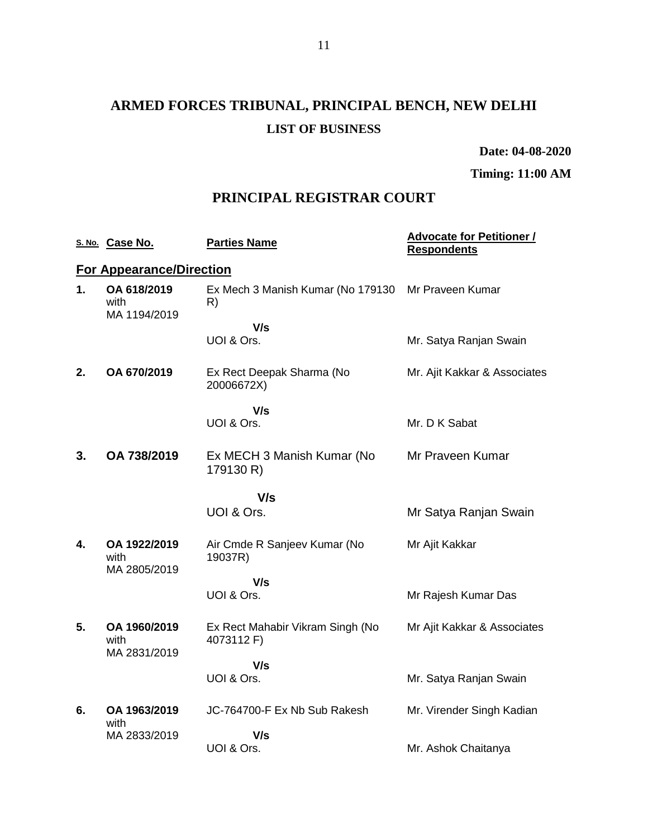# **ARMED FORCES TRIBUNAL, PRINCIPAL BENCH, NEW DELHI LIST OF BUSINESS**

**Date: 04-08-2020**

**Timing: 11:00 AM**

## **PRINCIPAL REGISTRAR COURT**

|    | S. No. Case No.                      | <b>Parties Name</b>                            | <b>Advocate for Petitioner /</b><br><b>Respondents</b> |
|----|--------------------------------------|------------------------------------------------|--------------------------------------------------------|
|    | <b>For Appearance/Direction</b>      |                                                |                                                        |
| 1. | OA 618/2019<br>with                  | Ex Mech 3 Manish Kumar (No 179130<br>R)        | Mr Praveen Kumar                                       |
|    | MA 1194/2019                         | V/s                                            |                                                        |
|    |                                      | UOI & Ors.                                     | Mr. Satya Ranjan Swain                                 |
| 2. | OA 670/2019                          | Ex Rect Deepak Sharma (No<br>20006672X)        | Mr. Ajit Kakkar & Associates                           |
|    |                                      | V/s                                            |                                                        |
|    |                                      | UOI & Ors.                                     | Mr. D K Sabat                                          |
| 3. | OA 738/2019                          | Ex MECH 3 Manish Kumar (No<br>179130 R)        | Mr Praveen Kumar                                       |
|    |                                      | V/s                                            |                                                        |
|    |                                      | UOI & Ors.                                     | Mr Satya Ranjan Swain                                  |
| 4. | OA 1922/2019<br>with<br>MA 2805/2019 | Air Cmde R Sanjeev Kumar (No<br>19037R)        | Mr Ajit Kakkar                                         |
|    |                                      | V/s                                            |                                                        |
|    |                                      | UOI & Ors.                                     | Mr Rajesh Kumar Das                                    |
| 5. | OA 1960/2019<br>with<br>MA 2831/2019 | Ex Rect Mahabir Vikram Singh (No<br>4073112 F) | Mr Ajit Kakkar & Associates                            |
|    |                                      | V/s                                            |                                                        |
|    |                                      | UOI & Ors.                                     | Mr. Satya Ranjan Swain                                 |
| 6. | OA 1963/2019<br>with                 | JC-764700-F Ex Nb Sub Rakesh                   | Mr. Virender Singh Kadian                              |
|    | MA 2833/2019                         | V/s                                            |                                                        |
|    |                                      | UOI & Ors.                                     | Mr. Ashok Chaitanya                                    |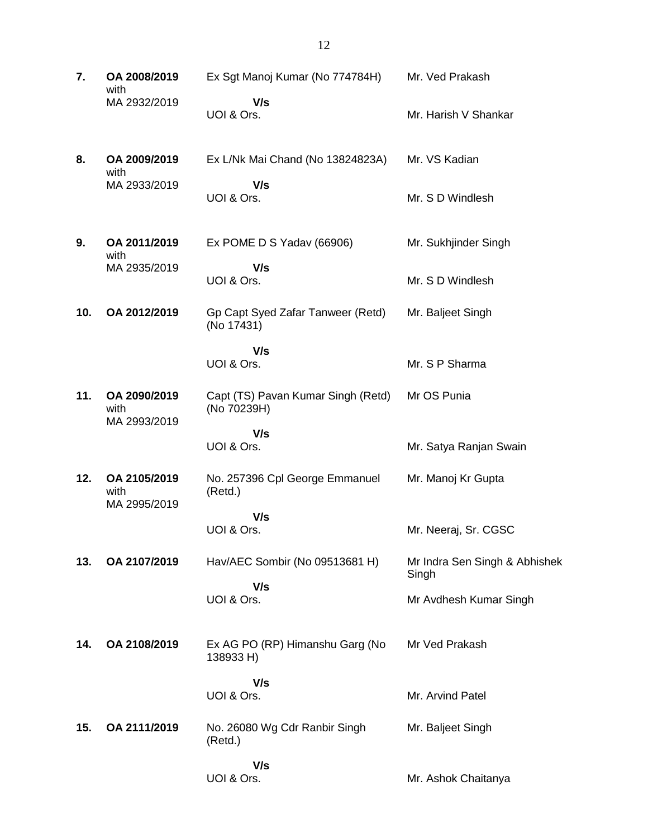| 7.  | OA 2008/2019<br>with<br>MA 2932/2019 | Ex Sgt Manoj Kumar (No 774784H)                   | Mr. Ved Prakash                        |
|-----|--------------------------------------|---------------------------------------------------|----------------------------------------|
|     |                                      | V/s<br>UOI & Ors.                                 | Mr. Harish V Shankar                   |
| 8.  | OA 2009/2019<br>with<br>MA 2933/2019 | Ex L/Nk Mai Chand (No 13824823A)                  | Mr. VS Kadian                          |
|     |                                      | V/s<br>UOI & Ors.                                 | Mr. S D Windlesh                       |
| 9.  | OA 2011/2019<br>with                 | Ex POME D S Yadav (66906)                         | Mr. Sukhjinder Singh                   |
|     | MA 2935/2019                         | V/s<br>UOI & Ors.                                 | Mr. S D Windlesh                       |
| 10. | OA 2012/2019                         | Gp Capt Syed Zafar Tanweer (Retd)<br>(No 17431)   | Mr. Baljeet Singh                      |
|     |                                      | V/s                                               |                                        |
|     |                                      | UOI & Ors.                                        | Mr. S P Sharma                         |
| 11. | OA 2090/2019<br>with<br>MA 2993/2019 | Capt (TS) Pavan Kumar Singh (Retd)<br>(No 70239H) | Mr OS Punia                            |
|     |                                      | V/s<br>UOI & Ors.                                 | Mr. Satya Ranjan Swain                 |
| 12. | OA 2105/2019<br>with<br>MA 2995/2019 | No. 257396 Cpl George Emmanuel<br>(Retd.)         | Mr. Manoj Kr Gupta                     |
|     |                                      | V/s<br>UOI & Ors.                                 | Mr. Neeraj, Sr. CGSC                   |
| 13. | OA 2107/2019                         | Hav/AEC Sombir (No 09513681 H)                    | Mr Indra Sen Singh & Abhishek<br>Singh |
|     |                                      | V/s<br>UOI & Ors.                                 | Mr Avdhesh Kumar Singh                 |
| 14. | OA 2108/2019                         | Ex AG PO (RP) Himanshu Garg (No<br>138933 H)      | Mr Ved Prakash                         |
|     |                                      | V/s<br>UOI & Ors.                                 | Mr. Arvind Patel                       |
| 15. | OA 2111/2019                         | No. 26080 Wg Cdr Ranbir Singh<br>(Retd.)          | Mr. Baljeet Singh                      |
|     |                                      | V/s<br>UOI & Ors.                                 | Mr. Ashok Chaitanya                    |

12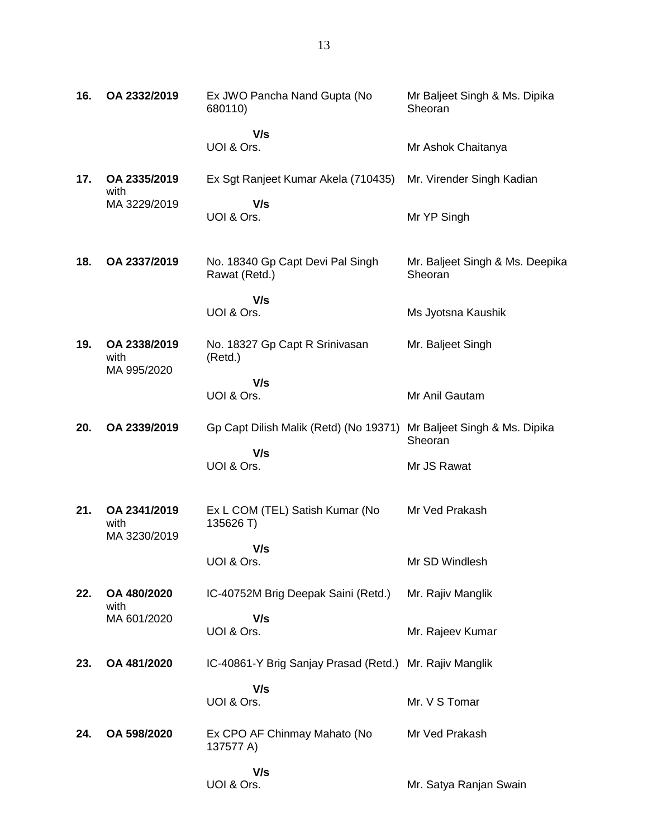| 16. | OA 2332/2019                         | Ex JWO Pancha Nand Gupta (No<br>680110)                 | Mr Baljeet Singh & Ms. Dipika<br>Sheoran   |
|-----|--------------------------------------|---------------------------------------------------------|--------------------------------------------|
|     |                                      | V/s<br>UOI & Ors.                                       | Mr Ashok Chaitanya                         |
| 17. | OA 2335/2019                         | Ex Sgt Ranjeet Kumar Akela (710435)                     | Mr. Virender Singh Kadian                  |
|     | with<br>MA 3229/2019                 | V/s<br>UOI & Ors.                                       | Mr YP Singh                                |
| 18. | OA 2337/2019                         | No. 18340 Gp Capt Devi Pal Singh<br>Rawat (Retd.)       | Mr. Baljeet Singh & Ms. Deepika<br>Sheoran |
|     |                                      | V/s<br>UOI & Ors.                                       | Ms Jyotsna Kaushik                         |
| 19. | OA 2338/2019<br>with<br>MA 995/2020  | No. 18327 Gp Capt R Srinivasan<br>(Retd.)               | Mr. Baljeet Singh                          |
|     |                                      | V/s<br>UOI & Ors.                                       | Mr Anil Gautam                             |
| 20. | OA 2339/2019                         | Gp Capt Dilish Malik (Retd) (No 19371)                  | Mr Baljeet Singh & Ms. Dipika<br>Sheoran   |
|     |                                      | V/s<br>UOI & Ors.                                       | Mr JS Rawat                                |
| 21. | OA 2341/2019<br>with<br>MA 3230/2019 | Ex L COM (TEL) Satish Kumar (No<br>135626 T)            | Mr Ved Prakash                             |
|     |                                      | V/s<br>UOI & Ors.                                       | Mr SD Windlesh                             |
| 22. | OA 480/2020                          | IC-40752M Brig Deepak Saini (Retd.)                     | Mr. Rajiv Manglik                          |
|     | with<br>MA 601/2020                  | V/s<br>UOI & Ors.                                       | Mr. Rajeev Kumar                           |
| 23. | OA 481/2020                          | IC-40861-Y Brig Sanjay Prasad (Retd.) Mr. Rajiv Manglik |                                            |
|     |                                      | V/s<br>UOI & Ors.                                       | Mr. V S Tomar                              |
| 24. | OA 598/2020                          | Ex CPO AF Chinmay Mahato (No<br>137577 A)               | Mr Ved Prakash                             |
|     |                                      | V/s<br>UOI & Ors.                                       | Mr. Satya Ranjan Swain                     |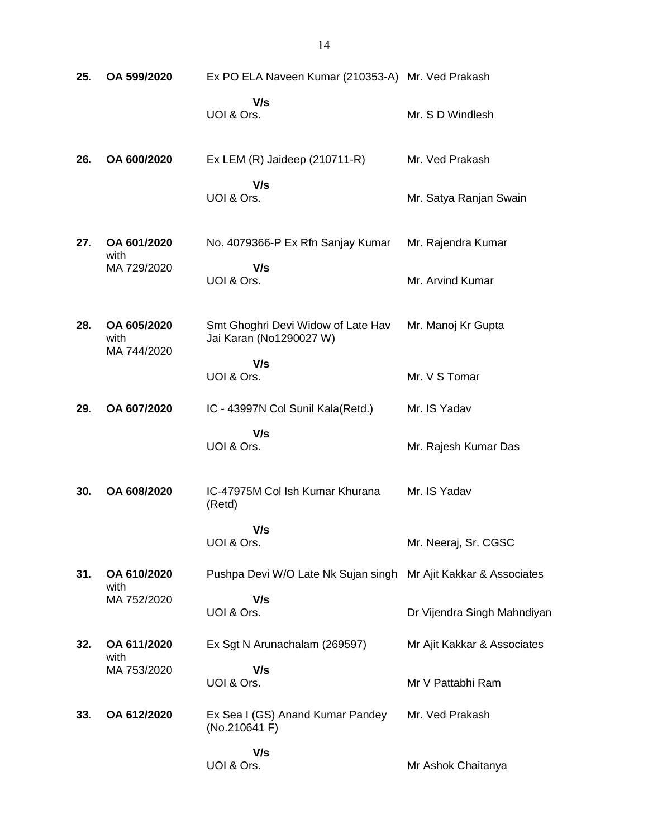| 25. | OA 599/2020                        | Ex PO ELA Naveen Kumar (210353-A) Mr. Ved Prakash               |                             |
|-----|------------------------------------|-----------------------------------------------------------------|-----------------------------|
|     |                                    | V/s<br>UOI & Ors.                                               | Mr. S D Windlesh            |
| 26. | OA 600/2020                        | Ex LEM $(R)$ Jaideep $(210711-R)$                               | Mr. Ved Prakash             |
|     |                                    | V/s<br>UOI & Ors.                                               | Mr. Satya Ranjan Swain      |
| 27. | OA 601/2020<br>with                | No. 4079366-P Ex Rfn Sanjay Kumar                               | Mr. Rajendra Kumar          |
|     | MA 729/2020                        | V/s<br>UOI & Ors.                                               | Mr. Arvind Kumar            |
| 28. | OA 605/2020<br>with<br>MA 744/2020 | Smt Ghoghri Devi Widow of Late Hav<br>Jai Karan (No1290027 W)   | Mr. Manoj Kr Gupta          |
|     |                                    | V/s<br>UOI & Ors.                                               | Mr. V S Tomar               |
| 29. | OA 607/2020                        | IC - 43997N Col Sunil Kala(Retd.)                               | Mr. IS Yadav                |
|     |                                    | V/s<br>UOI & Ors.                                               | Mr. Rajesh Kumar Das        |
| 30. | OA 608/2020                        | IC-47975M Col Ish Kumar Khurana<br>(Retd)                       | Mr. IS Yadav                |
|     |                                    | V/s<br>UOI & Ors.                                               | Mr. Neeraj, Sr. CGSC        |
| 31. | OA 610/2020<br>with                | Pushpa Devi W/O Late Nk Sujan singh Mr Ajit Kakkar & Associates |                             |
|     | MA 752/2020                        | V/s<br>UOI & Ors.                                               | Dr Vijendra Singh Mahndiyan |
| 32. | OA 611/2020<br>with                | Ex Sgt N Arunachalam (269597)                                   | Mr Ajit Kakkar & Associates |
|     | MA 753/2020                        | V/s<br>UOI & Ors.                                               | Mr V Pattabhi Ram           |
| 33. | OA 612/2020                        | Ex Sea I (GS) Anand Kumar Pandey<br>(No.210641 F)               | Mr. Ved Prakash             |
|     |                                    | V/s<br>UOI & Ors.                                               | Mr Ashok Chaitanya          |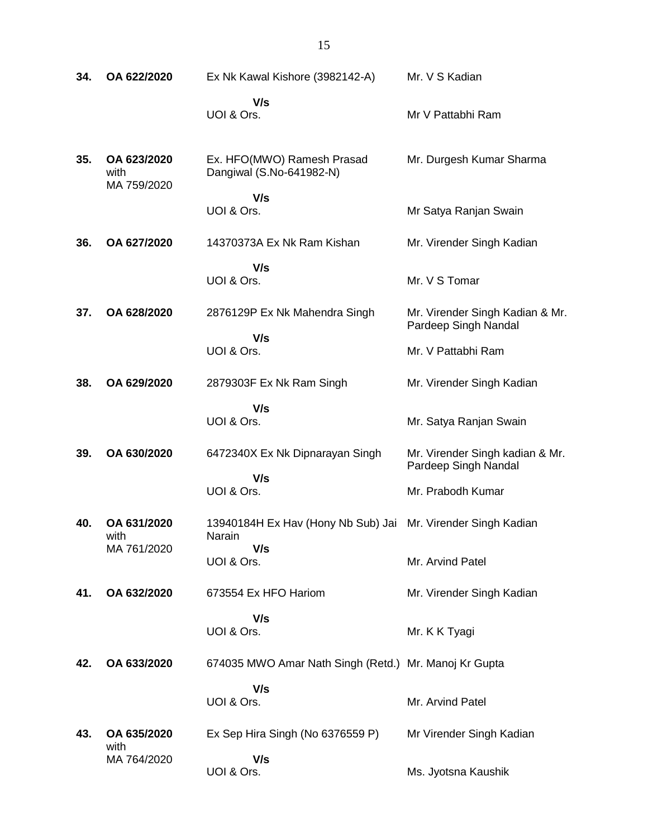| 34. | OA 622/2020                        | Ex Nk Kawal Kishore (3982142-A)                        | Mr. V S Kadian                                          |  |
|-----|------------------------------------|--------------------------------------------------------|---------------------------------------------------------|--|
|     |                                    | V/s<br>UOI & Ors.                                      | Mr V Pattabhi Ram                                       |  |
| 35. | OA 623/2020<br>with<br>MA 759/2020 | Ex. HFO(MWO) Ramesh Prasad<br>Dangiwal (S.No-641982-N) | Mr. Durgesh Kumar Sharma                                |  |
|     |                                    | V/s<br>UOI & Ors.                                      | Mr Satya Ranjan Swain                                   |  |
| 36. | OA 627/2020                        | 14370373A Ex Nk Ram Kishan                             | Mr. Virender Singh Kadian                               |  |
|     |                                    | V/s<br>UOI & Ors.                                      | Mr. V S Tomar                                           |  |
| 37. | OA 628/2020                        | 2876129P Ex Nk Mahendra Singh                          | Mr. Virender Singh Kadian & Mr.<br>Pardeep Singh Nandal |  |
|     |                                    | V/s<br>UOI & Ors.                                      | Mr. V Pattabhi Ram                                      |  |
| 38. | OA 629/2020                        | 2879303F Ex Nk Ram Singh                               | Mr. Virender Singh Kadian                               |  |
|     |                                    | V/s<br>UOI & Ors.                                      | Mr. Satya Ranjan Swain                                  |  |
| 39. | OA 630/2020                        | 6472340X Ex Nk Dipnarayan Singh                        | Mr. Virender Singh kadian & Mr.<br>Pardeep Singh Nandal |  |
|     |                                    | V/s<br>UOI & Ors.                                      | Mr. Prabodh Kumar                                       |  |
| 40. | OA 631/2020<br>with                | 13940184H Ex Hav (Hony Nb Sub) Jai<br>Narain           | Mr. Virender Singh Kadian                               |  |
|     | MA 761/2020                        | V/s<br>UOI & Ors.                                      | Mr. Arvind Patel                                        |  |
| 41. | OA 632/2020                        | 673554 Ex HFO Hariom                                   | Mr. Virender Singh Kadian                               |  |
|     |                                    | V/s<br>UOI & Ors.                                      | Mr. K K Tyagi                                           |  |
| 42. | OA 633/2020                        | 674035 MWO Amar Nath Singh (Retd.) Mr. Manoj Kr Gupta  |                                                         |  |
|     |                                    | V/s<br>UOI & Ors.                                      | Mr. Arvind Patel                                        |  |
| 43. | OA 635/2020<br>with                | Ex Sep Hira Singh (No 6376559 P)                       | Mr Virender Singh Kadian                                |  |
|     | MA 764/2020                        | V/s<br>UOI & Ors.                                      | Ms. Jyotsna Kaushik                                     |  |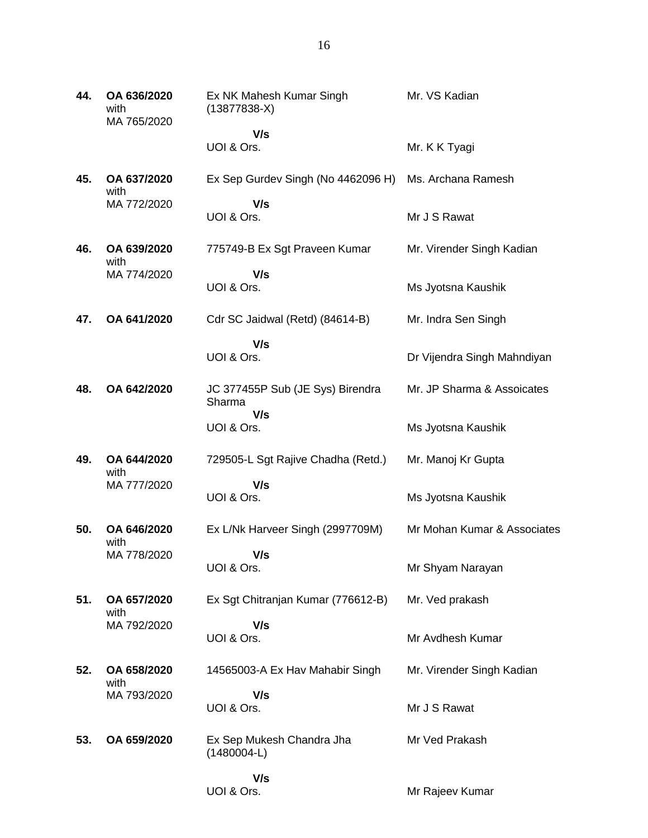**44. OA 636/2020** with MA 765/2020 Ex NK Mahesh Kumar Singh (13877838-X)  **V/s** UOI & Ors. Mr. VS Kadian Mr. K K Tyagi **45. OA 637/2020** with MA 772/2020 Ex Sep Gurdev Singh (No 4462096 H)  **V/s** UOI & Ors. Ms. Archana Ramesh Mr J S Rawat **46. OA 639/2020** with MA 774/2020 775749-B Ex Sgt Praveen Kumar  **V/s** UOI & Ors. Mr. Virender Singh Kadian Ms Jyotsna Kaushik **47. OA 641/2020** Cdr SC Jaidwal (Retd) (84614-B)  **V/s** UOI & Ors. Mr. Indra Sen Singh Dr Vijendra Singh Mahndiyan **48. OA 642/2020** JC 377455P Sub (JE Sys) Birendra Sharma  **V/s** UOI & Ors. Mr. JP Sharma & Assoicates Ms Jyotsna Kaushik **49. OA 644/2020** with MA 777/2020 729505-L Sgt Rajive Chadha (Retd.)  **V/s** UOI & Ors. Mr. Manoj Kr Gupta Ms Jyotsna Kaushik **50. OA 646/2020** with MA 778/2020 Ex L/Nk Harveer Singh (2997709M)  **V/s** UOI & Ors. Mr Mohan Kumar & Associates Mr Shyam Narayan **51. OA 657/2020** with MA 792/2020 Ex Sgt Chitranjan Kumar (776612-B)  **V/s** UOI & Ors. Mr. Ved prakash Mr Avdhesh Kumar **52. OA 658/2020** with MA 793/2020 14565003-A Ex Hav Mahabir Singh  **V/s** UOI & Ors. Mr. Virender Singh Kadian Mr J S Rawat **53. OA 659/2020** Ex Sep Mukesh Chandra Jha (1480004-L)  **V/s** UOI & Ors. Mr Ved Prakash Mr Rajeev Kumar

16